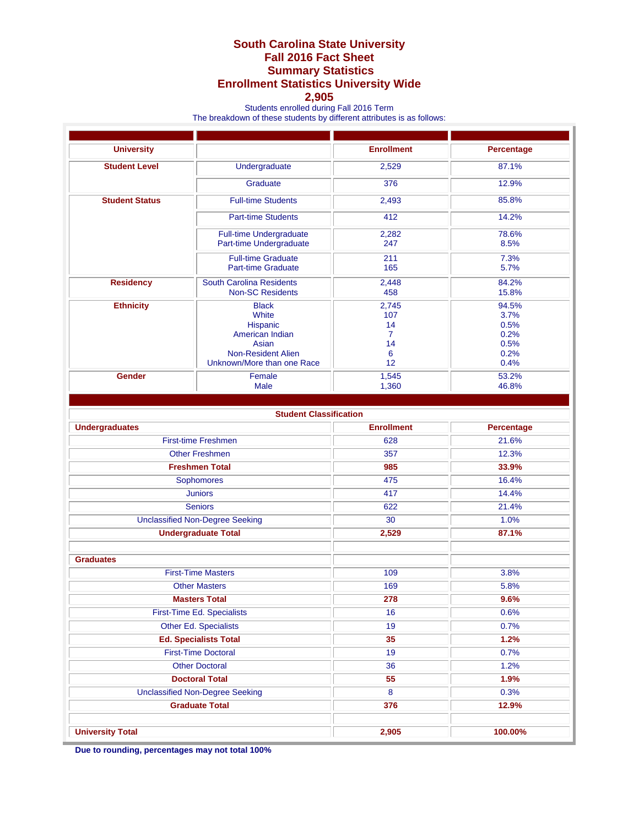## **South Carolina State University Fall 2016 Fact Sheet Summary Statistics Enrollment Statistics University Wide**

## **2,905**

Students enrolled during Fall 2016 Term

The breakdown of these students by different attributes is as follows:

| <b>University</b>          |                                 | <b>Enrollment</b> | <b>Percentage</b> |
|----------------------------|---------------------------------|-------------------|-------------------|
| <b>Student Level</b>       | Undergraduate                   | 2,529             | 87.1%             |
|                            | Graduate                        | 376               | 12.9%             |
| <b>Student Status</b>      | <b>Full-time Students</b>       | 2,493             | 85.8%             |
|                            | <b>Part-time Students</b>       | 412               | 14.2%             |
|                            | <b>Full-time Undergraduate</b>  | 2,282             | 78.6%             |
|                            | Part-time Undergraduate         | 247               | 8.5%              |
|                            | <b>Full-time Graduate</b>       | 211               | 7.3%              |
|                            | Part-time Graduate              | 165               | 5.7%              |
| <b>Residency</b>           | <b>South Carolina Residents</b> | 2,448             | 84.2%             |
|                            | <b>Non-SC Residents</b>         | 458               | 15.8%             |
| <b>Ethnicity</b>           | <b>Black</b>                    | 2,745             | 94.5%             |
|                            | White                           | 107               | 3.7%              |
|                            | <b>Hispanic</b>                 | 14                | 0.5%              |
|                            | American Indian                 | 7                 | 0.2%              |
|                            | Asian                           | 14                | 0.5%              |
|                            | Non-Resident Alien              | 6                 | 0.2%              |
|                            | Unknown/More than one Race      | 12                | 0.4%              |
| Gender                     | Female                          | 1,545             | 53.2%             |
|                            | <b>Male</b>                     | 1,360             | 46.8%             |
|                            |                                 |                   |                   |
|                            | <b>Student Classification</b>   |                   |                   |
| <b>Undergraduates</b>      |                                 | <b>Enrollment</b> | <b>Percentage</b> |
| <b>First-time Freshmen</b> |                                 | 628               | 21.6%             |

| Undergraduates                         | Enrollment | Percentage |
|----------------------------------------|------------|------------|
| <b>First-time Freshmen</b>             | 628        | 21.6%      |
| <b>Other Freshmen</b>                  | 357        | 12.3%      |
| <b>Freshmen Total</b>                  | 985        | 33.9%      |
| <b>Sophomores</b>                      | 475        | 16.4%      |
| <b>Juniors</b>                         | 417        | 14.4%      |
| <b>Seniors</b>                         | 622        | 21.4%      |
| <b>Unclassified Non-Degree Seeking</b> | 30         | 1.0%       |
| <b>Undergraduate Total</b>             | 2,529      | 87.1%      |
|                                        |            |            |
| <b>Graduates</b>                       |            |            |
| <b>First-Time Masters</b>              | 109        | 3.8%       |
| <b>Other Masters</b>                   | 169        | 5.8%       |
| <b>Masters Total</b>                   | 278        | 9.6%       |
| First-Time Ed. Specialists             | 16         | 0.6%       |
| Other Ed. Specialists                  | 19         | 0.7%       |
| <b>Ed. Specialists Total</b>           | 35         | 1.2%       |
| <b>First-Time Doctoral</b>             | 19         | 0.7%       |
| <b>Other Doctoral</b>                  | 36         | 1.2%       |
| <b>Doctoral Total</b>                  | 55         | 1.9%       |
| <b>Unclassified Non-Degree Seeking</b> | 8          | 0.3%       |
| <b>Graduate Total</b>                  | 376        | 12.9%      |
|                                        |            |            |
| <b>University Total</b>                | 2,905      | 100.00%    |

**Due to rounding, percentages may not total 100%**